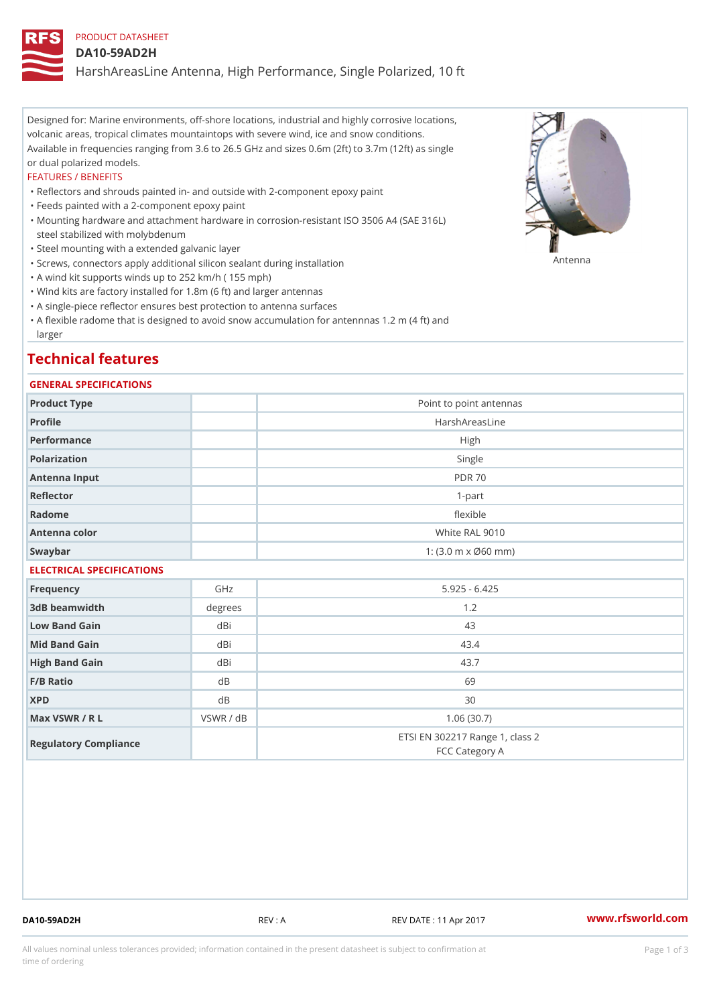## PRODUCT DATASHEET

#### DA10-59AD2H

HarshAreasLine Antenna, High Performance, Single Polarized, 10 ft

Designed for: Marine environments, off-shore locations, industrial and highly corrosive locations, volcanic areas, tropical climates mountaintops with severe wind, ice and snow conditions. Available in frequencies ranging from 3.6 to 26.5 GHz and sizes 0.6m (2ft) to 3.7m (12ft) as single or dual polarized models.

#### FEATURES / BENEFITS

"Reflectors and shrouds painted in- and outside with 2-component epoxy paint

- "Feeds painted with a 2-component epoxy paint
- Mounting hardware and attachment hardware in corrosion-resistant ISO 3506 A4 (SAE 316L) " steel stabilized with molybdenum
- "Steel mounting with a extended galvanic layer
- "Screws, connectors apply additional silicon sealant during installation Antenna
- "A wind kit supports winds up to 252 km/h ( 155 mph)
- "Wind kits are factory installed for 1.8m (6 ft) and larger antennas
- "A single-piece reflector ensures best protection to antenna surfaces
- "A flexible radome that is designed to avoid snow accumulation for antennnas 1.2 m (4 ft) and larger

# Technical features

#### GENERAL SPECIFICATIONS

| Product Type              |           | Point to point antennas                                 |  |  |
|---------------------------|-----------|---------------------------------------------------------|--|--|
| Profile                   |           | HarshAreasLine                                          |  |  |
| Performance               | High      |                                                         |  |  |
| Polarization              |           | Single                                                  |  |  |
| Antenna Input             |           | <b>PDR 70</b>                                           |  |  |
| Reflector                 |           | $1 - p$ art                                             |  |  |
| Radome                    |           | flexible                                                |  |  |
| Antenna color             |           | White RAL 9010                                          |  |  |
| Swaybar                   |           | 1: $(3.0 \, \text{m} \times \emptyset 60 \, \text{mm})$ |  |  |
| ELECTRICAL SPECIFICATIONS |           |                                                         |  |  |
| Frequency                 | GHz       | $5.925 - 6.425$                                         |  |  |
| 3dB beamwidth             | degrees   | 1.2                                                     |  |  |
| Low Band Gain             | dBi       | 43                                                      |  |  |
| Mid Band Gain             | dBi       | 43.4                                                    |  |  |
| High Band Gain            | dBi       | 43.7                                                    |  |  |
| $F/B$ Ratio               | $d$ B     | 69                                                      |  |  |
| <b>XPD</b>                | $d$ B     | 30                                                      |  |  |
| Max VSWR / R L            | VSWR / dB | 1.06(30.7)                                              |  |  |
| Regulatory Compliance     |           | ETSI EN 302217 Range 1, class 2<br>FCC Category A       |  |  |

DA10-59AD2H REV : A REV DATE : 11 Apr 2017 [www.](https://www.rfsworld.com)rfsworld.com

All values nominal unless tolerances provided; information contained in the present datasheet is subject to Pcapgeign mation time of ordering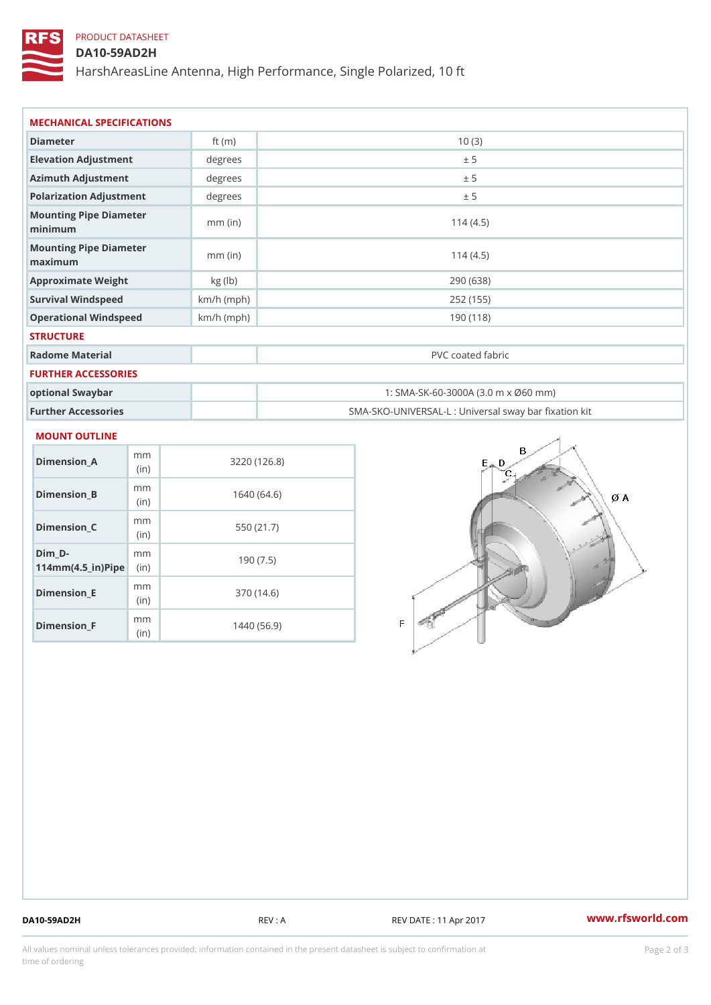## PRODUCT DATASHEET

## DA10-59AD2H

HarshAreasLine Antenna, High Performance, Single Polarized, 10 ft

| MECHANICAL SPECIFICATIONS         |              |                                     |  |  |
|-----------------------------------|--------------|-------------------------------------|--|--|
| Diameter                          | ft $(m)$     | 10(3)                               |  |  |
| Elevation Adjustment              | degree       | ± 5                                 |  |  |
| Azimuth Adjustment                | degree       | ± 5                                 |  |  |
| Polarization Adjustment           | degrees      | ± 5                                 |  |  |
| Mounting Pipe Diameter<br>minimum | $mm$ (in)    | 114(4.5)                            |  |  |
| Mounting Pipe Diameter<br>maximum | $mm$ (in)    | 114(4.5)                            |  |  |
| Approximate Weight                | kg(lb)       | 290 (638)                           |  |  |
| Survival Windspeed                | $km/h$ (mph) | 252 (155)                           |  |  |
| Operational Windspeed             | $km/h$ (mph) | 190 (118)                           |  |  |
| <b>STRUCTURE</b>                  |              |                                     |  |  |
| Radome Material                   |              | PVC coated fabric                   |  |  |
| FURTHER ACCESSORIES               |              |                                     |  |  |
| optional Swaybar                  |              | 1: SMA-SK-60-3000A (3.0 m x Ø60 mm) |  |  |

Further Accessories SMA-SKO-UNIVERSAL-L : Universal sway bar fixation kit

#### MOUNT OUTLINE

| Dimension A                                                 | m m<br>(in)  | 3220(126.8) |
|-------------------------------------------------------------|--------------|-------------|
| Dimension B                                                 | m m<br>(i n) | 1640 (64.6) |
| Dimension C                                                 | m m<br>(i n) | 550 (21.7)  |
| Dim D-<br>$114$ m m (4.5 _ ir) $\mathbb{R}$ im $\mathbb{R}$ | m m          | 190(7.5)    |
| Dimension E                                                 | m m<br>(in)  | 370 (14.6)  |
| $Dimension_F$                                               | m m<br>(in   | 1440 (56.9) |

DA10-59AD2H REV : A REV DATE : 11 Apr 2017 [www.](https://www.rfsworld.com)rfsworld.com